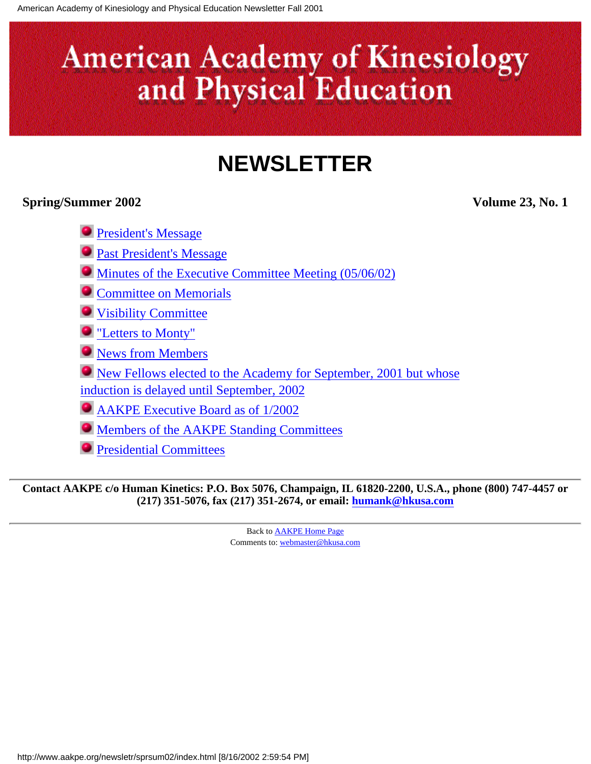## **NEWSLETTER**

#### <span id="page-0-0"></span>**Spring/Summer 2002 Volume 23, No. 1**

- **[President's Message](#page-1-0)**
- **[Past President's Message](#page-3-0)**
- [Minutes of the Executive Committee Meeting \(05/06/02\)](#page-5-0)
- **[Committee on Memorials](#page-9-0)**
- [Visibility Committee](#page-10-0)
- ["Letters to Monty"](#page-12-0)
- **O** [News from Members](#page-13-0)
- [New Fellows elected to the Academy for September, 2001 but whose](#page-14-0) [induction is delayed until September, 2002](#page-14-0)
- [AAKPE Executive Board as of 1/2002](#page-17-0)
- [Members of the AAKPE Standing Committees](#page-19-0)
- [Presidential Committees](#page-21-0)

**Contact AAKPE c/o Human Kinetics: P.O. Box 5076, Champaign, IL 61820-2200, U.S.A., phone (800) 747-4457 or (217) 351-5076, fax (217) 351-2674, or email: [humank@hkusa.com](mailto:humank@hkusa.com)**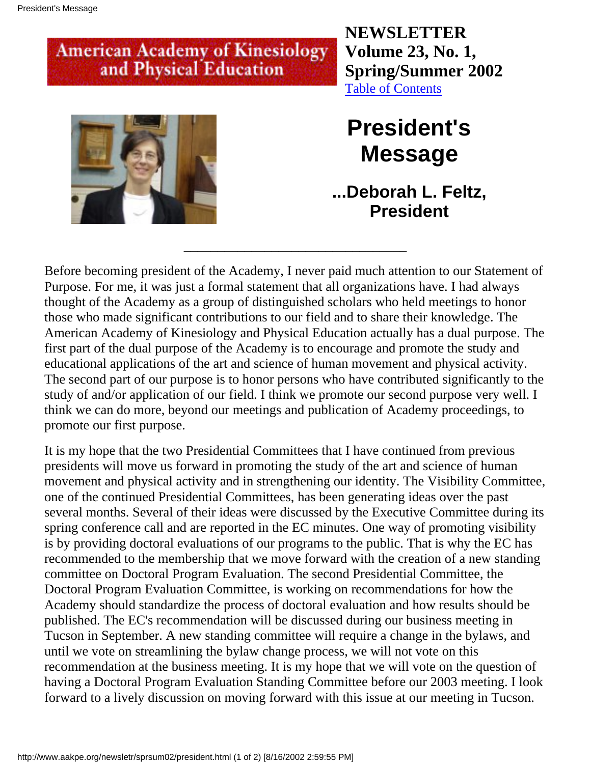**NEWSLETTER Volume 23, No. 1, Spring/Summer 2002** [Table of Contents](#page-0-0)

<span id="page-1-0"></span>

## **President's Message**

**...Deborah L. Feltz, President**

Before becoming president of the Academy, I never paid much attention to our Statement of Purpose. For me, it was just a formal statement that all organizations have. I had always thought of the Academy as a group of distinguished scholars who held meetings to honor those who made significant contributions to our field and to share their knowledge. The American Academy of Kinesiology and Physical Education actually has a dual purpose. The first part of the dual purpose of the Academy is to encourage and promote the study and educational applications of the art and science of human movement and physical activity. The second part of our purpose is to honor persons who have contributed significantly to the study of and/or application of our field. I think we promote our second purpose very well. I think we can do more, beyond our meetings and publication of Academy proceedings, to promote our first purpose.

\_\_\_\_\_\_\_\_\_\_\_\_\_\_\_\_\_\_\_\_\_\_\_\_\_\_\_\_\_\_\_\_\_

It is my hope that the two Presidential Committees that I have continued from previous presidents will move us forward in promoting the study of the art and science of human movement and physical activity and in strengthening our identity. The Visibility Committee, one of the continued Presidential Committees, has been generating ideas over the past several months. Several of their ideas were discussed by the Executive Committee during its spring conference call and are reported in the EC minutes. One way of promoting visibility is by providing doctoral evaluations of our programs to the public. That is why the EC has recommended to the membership that we move forward with the creation of a new standing committee on Doctoral Program Evaluation. The second Presidential Committee, the Doctoral Program Evaluation Committee, is working on recommendations for how the Academy should standardize the process of doctoral evaluation and how results should be published. The EC's recommendation will be discussed during our business meeting in Tucson in September. A new standing committee will require a change in the bylaws, and until we vote on streamlining the bylaw change process, we will not vote on this recommendation at the business meeting. It is my hope that we will vote on the question of having a Doctoral Program Evaluation Standing Committee before our 2003 meeting. I look forward to a lively discussion on moving forward with this issue at our meeting in Tucson.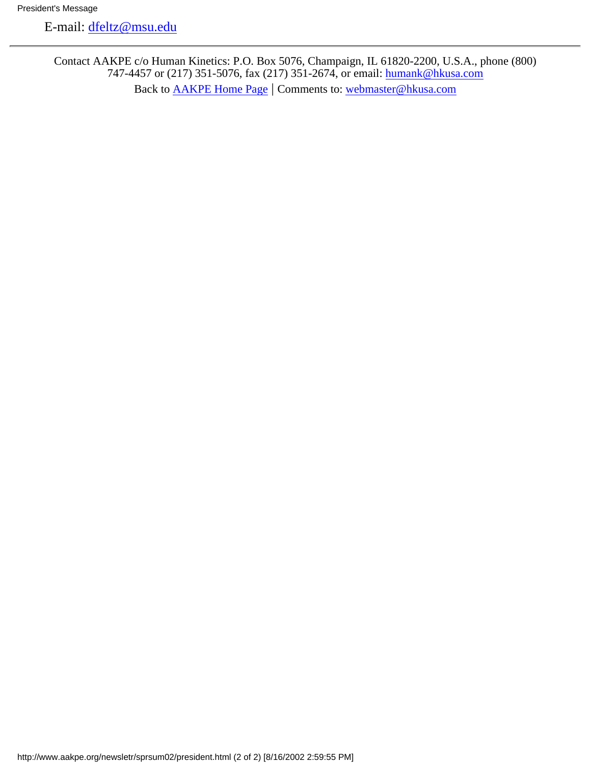E-mail: [dfeltz@msu.edu](mailto:dfeltz@msu.edu)

Contact AAKPE c/o Human Kinetics: P.O. Box 5076, Champaign, IL 61820-2200, U.S.A., phone (800) 747-4457 or (217) 351-5076, fax (217) 351-2674, or email: [humank@hkusa.com](mailto:humank@hkusa.com) Back to [AAKPE Home Page](http://www.aakpe.org/index.htm) | Comments to: [webmaster@hkusa.com](mailto:webmaster@hkusa.com)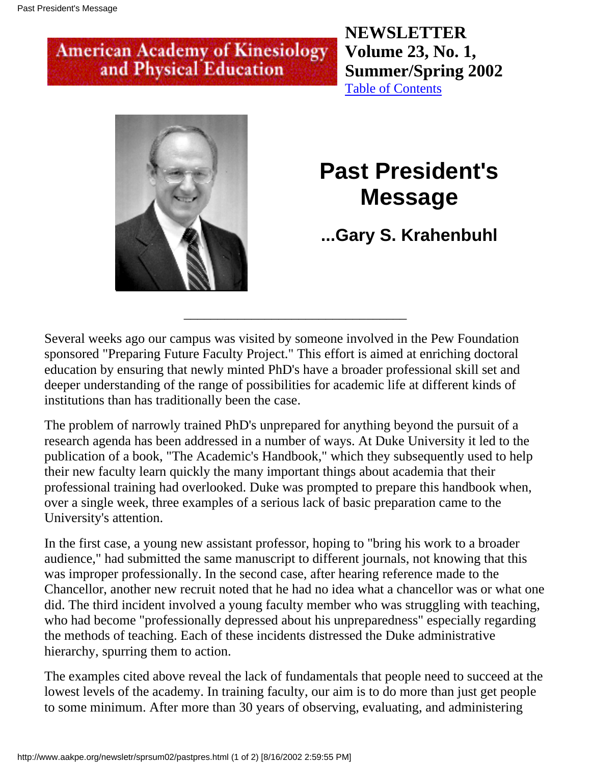**NEWSLETTER Volume 23, No. 1, Summer/Spring 2002** [Table of Contents](#page-0-0)

<span id="page-3-0"></span>

## **Past President's Message**

### **...Gary S. Krahenbuhl**

Several weeks ago our campus was visited by someone involved in the Pew Foundation sponsored "Preparing Future Faculty Project." This effort is aimed at enriching doctoral education by ensuring that newly minted PhD's have a broader professional skill set and deeper understanding of the range of possibilities for academic life at different kinds of institutions than has traditionally been the case.

\_\_\_\_\_\_\_\_\_\_\_\_\_\_\_\_\_\_\_\_\_\_\_\_\_\_\_\_\_\_\_\_\_

The problem of narrowly trained PhD's unprepared for anything beyond the pursuit of a research agenda has been addressed in a number of ways. At Duke University it led to the publication of a book, "The Academic's Handbook," which they subsequently used to help their new faculty learn quickly the many important things about academia that their professional training had overlooked. Duke was prompted to prepare this handbook when, over a single week, three examples of a serious lack of basic preparation came to the University's attention.

In the first case, a young new assistant professor, hoping to "bring his work to a broader audience," had submitted the same manuscript to different journals, not knowing that this was improper professionally. In the second case, after hearing reference made to the Chancellor, another new recruit noted that he had no idea what a chancellor was or what one did. The third incident involved a young faculty member who was struggling with teaching, who had become "professionally depressed about his unpreparedness" especially regarding the methods of teaching. Each of these incidents distressed the Duke administrative hierarchy, spurring them to action.

The examples cited above reveal the lack of fundamentals that people need to succeed at the lowest levels of the academy. In training faculty, our aim is to do more than just get people to some minimum. After more than 30 years of observing, evaluating, and administering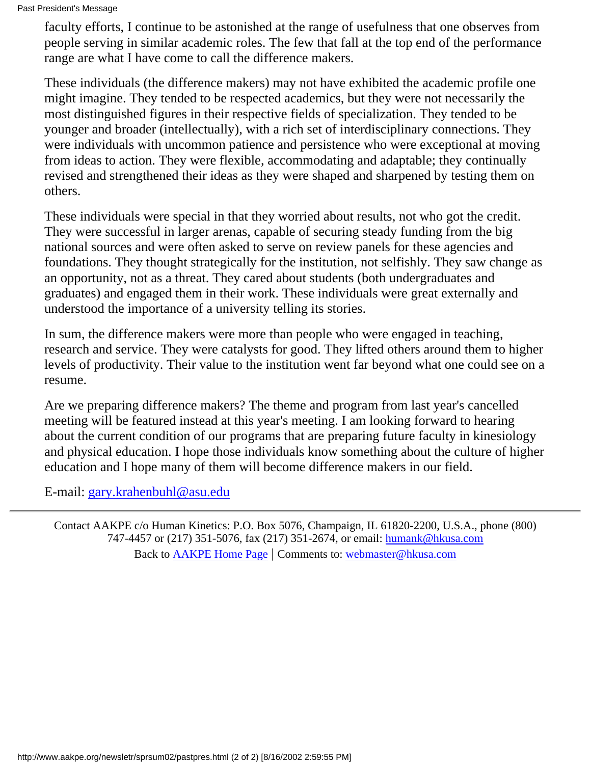faculty efforts, I continue to be astonished at the range of usefulness that one observes from people serving in similar academic roles. The few that fall at the top end of the performance range are what I have come to call the difference makers.

These individuals (the difference makers) may not have exhibited the academic profile one might imagine. They tended to be respected academics, but they were not necessarily the most distinguished figures in their respective fields of specialization. They tended to be younger and broader (intellectually), with a rich set of interdisciplinary connections. They were individuals with uncommon patience and persistence who were exceptional at moving from ideas to action. They were flexible, accommodating and adaptable; they continually revised and strengthened their ideas as they were shaped and sharpened by testing them on others.

These individuals were special in that they worried about results, not who got the credit. They were successful in larger arenas, capable of securing steady funding from the big national sources and were often asked to serve on review panels for these agencies and foundations. They thought strategically for the institution, not selfishly. They saw change as an opportunity, not as a threat. They cared about students (both undergraduates and graduates) and engaged them in their work. These individuals were great externally and understood the importance of a university telling its stories.

In sum, the difference makers were more than people who were engaged in teaching, research and service. They were catalysts for good. They lifted others around them to higher levels of productivity. Their value to the institution went far beyond what one could see on a resume.

Are we preparing difference makers? The theme and program from last year's cancelled meeting will be featured instead at this year's meeting. I am looking forward to hearing about the current condition of our programs that are preparing future faculty in kinesiology and physical education. I hope those individuals know something about the culture of higher education and I hope many of them will become difference makers in our field.

E-mail: [gary.krahenbuhl@asu.edu](mailto:gary.krahenbuhl@asu.edu)

Contact AAKPE c/o Human Kinetics: P.O. Box 5076, Champaign, IL 61820-2200, U.S.A., phone (800) 747-4457 or (217) 351-5076, fax (217) 351-2674, or email: [humank@hkusa.com](mailto:humank@hkusa.com) Back to [AAKPE Home Page](http://www.aakpe.org/index.htm) | Comments to: [webmaster@hkusa.com](mailto:webmaster@hkusa.com)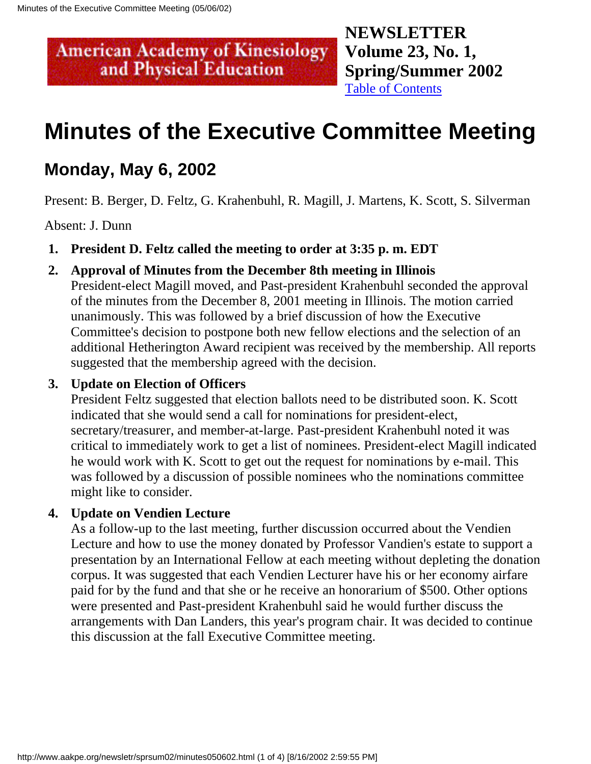**NEWSLETTER Volume 23, No. 1, Spring/Summer 2002** [Table of Contents](#page-0-0)

## <span id="page-5-0"></span>**Minutes of the Executive Committee Meeting**

### **Monday, May 6, 2002**

Present: B. Berger, D. Feltz, G. Krahenbuhl, R. Magill, J. Martens, K. Scott, S. Silverman

Absent: J. Dunn

**1. President D. Feltz called the meeting to order at 3:35 p. m. EDT**

#### **2. Approval of Minutes from the December 8th meeting in Illinois**

President-elect Magill moved, and Past-president Krahenbuhl seconded the approval of the minutes from the December 8, 2001 meeting in Illinois. The motion carried unanimously. This was followed by a brief discussion of how the Executive Committee's decision to postpone both new fellow elections and the selection of an additional Hetherington Award recipient was received by the membership. All reports suggested that the membership agreed with the decision.

#### **3. Update on Election of Officers**

President Feltz suggested that election ballots need to be distributed soon. K. Scott indicated that she would send a call for nominations for president-elect, secretary/treasurer, and member-at-large. Past-president Krahenbuhl noted it was critical to immediately work to get a list of nominees. President-elect Magill indicated he would work with K. Scott to get out the request for nominations by e-mail. This was followed by a discussion of possible nominees who the nominations committee might like to consider.

#### **4. Update on Vendien Lecture**

As a follow-up to the last meeting, further discussion occurred about the Vendien Lecture and how to use the money donated by Professor Vandien's estate to support a presentation by an International Fellow at each meeting without depleting the donation corpus. It was suggested that each Vendien Lecturer have his or her economy airfare paid for by the fund and that she or he receive an honorarium of \$500. Other options were presented and Past-president Krahenbuhl said he would further discuss the arrangements with Dan Landers, this year's program chair. It was decided to continue this discussion at the fall Executive Committee meeting.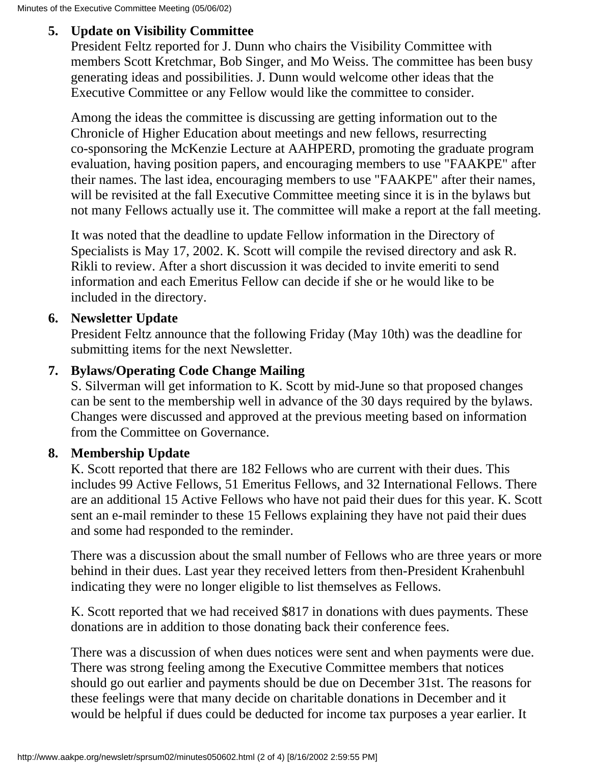#### **5. Update on Visibility Committee**

President Feltz reported for J. Dunn who chairs the Visibility Committee with members Scott Kretchmar, Bob Singer, and Mo Weiss. The committee has been busy generating ideas and possibilities. J. Dunn would welcome other ideas that the Executive Committee or any Fellow would like the committee to consider.

Among the ideas the committee is discussing are getting information out to the Chronicle of Higher Education about meetings and new fellows, resurrecting co-sponsoring the McKenzie Lecture at AAHPERD, promoting the graduate program evaluation, having position papers, and encouraging members to use "FAAKPE" after their names. The last idea, encouraging members to use "FAAKPE" after their names, will be revisited at the fall Executive Committee meeting since it is in the bylaws but not many Fellows actually use it. The committee will make a report at the fall meeting.

It was noted that the deadline to update Fellow information in the Directory of Specialists is May 17, 2002. K. Scott will compile the revised directory and ask R. Rikli to review. After a short discussion it was decided to invite emeriti to send information and each Emeritus Fellow can decide if she or he would like to be included in the directory.

#### **6. Newsletter Update**

President Feltz announce that the following Friday (May 10th) was the deadline for submitting items for the next Newsletter.

#### **7. Bylaws/Operating Code Change Mailing**

S. Silverman will get information to K. Scott by mid-June so that proposed changes can be sent to the membership well in advance of the 30 days required by the bylaws. Changes were discussed and approved at the previous meeting based on information from the Committee on Governance.

#### **8. Membership Update**

K. Scott reported that there are 182 Fellows who are current with their dues. This includes 99 Active Fellows, 51 Emeritus Fellows, and 32 International Fellows. There are an additional 15 Active Fellows who have not paid their dues for this year. K. Scott sent an e-mail reminder to these 15 Fellows explaining they have not paid their dues and some had responded to the reminder.

There was a discussion about the small number of Fellows who are three years or more behind in their dues. Last year they received letters from then-President Krahenbuhl indicating they were no longer eligible to list themselves as Fellows.

K. Scott reported that we had received \$817 in donations with dues payments. These donations are in addition to those donating back their conference fees.

There was a discussion of when dues notices were sent and when payments were due. There was strong feeling among the Executive Committee members that notices should go out earlier and payments should be due on December 31st. The reasons for these feelings were that many decide on charitable donations in December and it would be helpful if dues could be deducted for income tax purposes a year earlier. It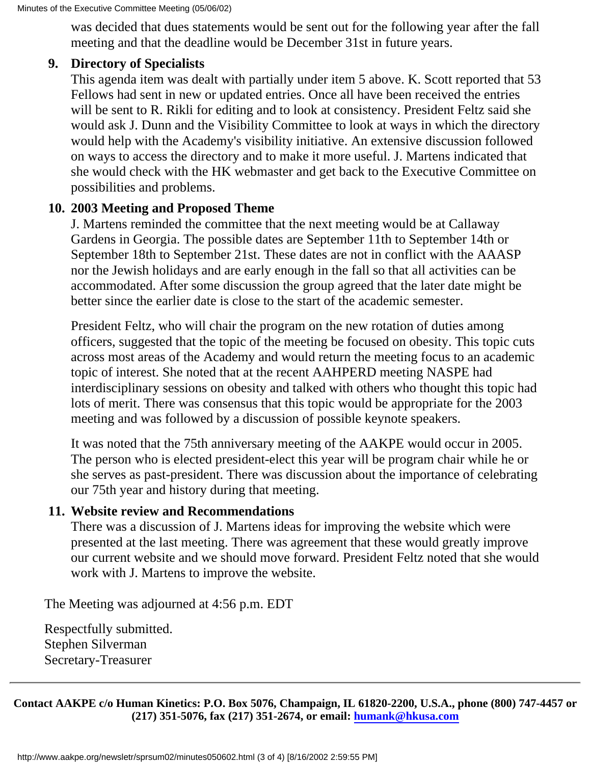Minutes of the Executive Committee Meeting (05/06/02)

was decided that dues statements would be sent out for the following year after the fall meeting and that the deadline would be December 31st in future years.

#### **9. Directory of Specialists**

This agenda item was dealt with partially under item 5 above. K. Scott reported that 53 Fellows had sent in new or updated entries. Once all have been received the entries will be sent to R. Rikli for editing and to look at consistency. President Feltz said she would ask J. Dunn and the Visibility Committee to look at ways in which the directory would help with the Academy's visibility initiative. An extensive discussion followed on ways to access the directory and to make it more useful. J. Martens indicated that she would check with the HK webmaster and get back to the Executive Committee on possibilities and problems.

#### **10. 2003 Meeting and Proposed Theme**

J. Martens reminded the committee that the next meeting would be at Callaway Gardens in Georgia. The possible dates are September 11th to September 14th or September 18th to September 21st. These dates are not in conflict with the AAASP nor the Jewish holidays and are early enough in the fall so that all activities can be accommodated. After some discussion the group agreed that the later date might be better since the earlier date is close to the start of the academic semester.

President Feltz, who will chair the program on the new rotation of duties among officers, suggested that the topic of the meeting be focused on obesity. This topic cuts across most areas of the Academy and would return the meeting focus to an academic topic of interest. She noted that at the recent AAHPERD meeting NASPE had interdisciplinary sessions on obesity and talked with others who thought this topic had lots of merit. There was consensus that this topic would be appropriate for the 2003 meeting and was followed by a discussion of possible keynote speakers.

It was noted that the 75th anniversary meeting of the AAKPE would occur in 2005. The person who is elected president-elect this year will be program chair while he or she serves as past-president. There was discussion about the importance of celebrating our 75th year and history during that meeting.

#### **11. Website review and Recommendations**

There was a discussion of J. Martens ideas for improving the website which were presented at the last meeting. There was agreement that these would greatly improve our current website and we should move forward. President Feltz noted that she would work with J. Martens to improve the website.

The Meeting was adjourned at 4:56 p.m. EDT

Respectfully submitted. Stephen Silverman Secretary-Treasurer

**Contact AAKPE c/o Human Kinetics: P.O. Box 5076, Champaign, IL 61820-2200, U.S.A., phone (800) 747-4457 or (217) 351-5076, fax (217) 351-2674, or email: [humank@hkusa.com](mailto:humank@hkusa.com)**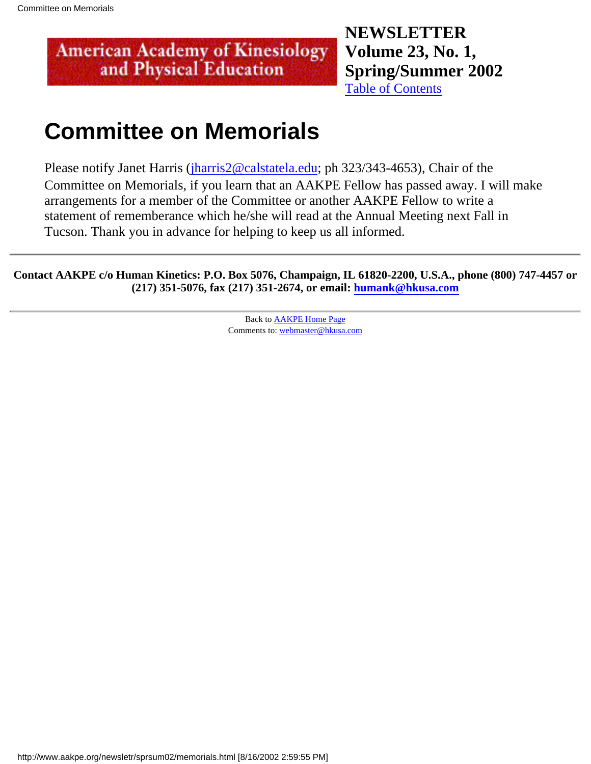**NEWSLETTER Volume 23, No. 1, Spring/Summer 2002** [Table of Contents](#page-0-0)

## <span id="page-9-0"></span>**Committee on Memorials**

Please notify Janet Harris ([jharris2@calstatela.edu](mailto:jharris2@calstatela.edu); ph 323/343-4653), Chair of the Committee on Memorials, if you learn that an AAKPE Fellow has passed away. I will make arrangements for a member of the Committee or another AAKPE Fellow to write a statement of rememberance which he/she will read at the Annual Meeting next Fall in Tucson. Thank you in advance for helping to keep us all informed.

**Contact AAKPE c/o Human Kinetics: P.O. Box 5076, Champaign, IL 61820-2200, U.S.A., phone (800) 747-4457 or (217) 351-5076, fax (217) 351-2674, or email: [humank@hkusa.com](mailto:humank@hkusa.com)**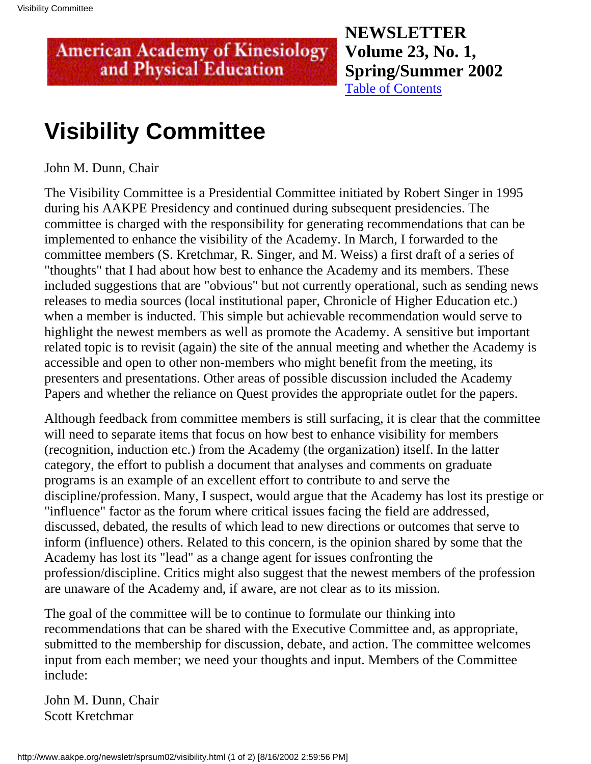**NEWSLETTER Volume 23, No. 1, Spring/Summer 2002** [Table of Contents](#page-0-0)

## <span id="page-10-0"></span>**Visibility Committee**

John M. Dunn, Chair

The Visibility Committee is a Presidential Committee initiated by Robert Singer in 1995 during his AAKPE Presidency and continued during subsequent presidencies. The committee is charged with the responsibility for generating recommendations that can be implemented to enhance the visibility of the Academy. In March, I forwarded to the committee members (S. Kretchmar, R. Singer, and M. Weiss) a first draft of a series of "thoughts" that I had about how best to enhance the Academy and its members. These included suggestions that are "obvious" but not currently operational, such as sending news releases to media sources (local institutional paper, Chronicle of Higher Education etc.) when a member is inducted. This simple but achievable recommendation would serve to highlight the newest members as well as promote the Academy. A sensitive but important related topic is to revisit (again) the site of the annual meeting and whether the Academy is accessible and open to other non-members who might benefit from the meeting, its presenters and presentations. Other areas of possible discussion included the Academy Papers and whether the reliance on Quest provides the appropriate outlet for the papers.

Although feedback from committee members is still surfacing, it is clear that the committee will need to separate items that focus on how best to enhance visibility for members (recognition, induction etc.) from the Academy (the organization) itself. In the latter category, the effort to publish a document that analyses and comments on graduate programs is an example of an excellent effort to contribute to and serve the discipline/profession. Many, I suspect, would argue that the Academy has lost its prestige or "influence" factor as the forum where critical issues facing the field are addressed, discussed, debated, the results of which lead to new directions or outcomes that serve to inform (influence) others. Related to this concern, is the opinion shared by some that the Academy has lost its "lead" as a change agent for issues confronting the profession/discipline. Critics might also suggest that the newest members of the profession are unaware of the Academy and, if aware, are not clear as to its mission.

The goal of the committee will be to continue to formulate our thinking into recommendations that can be shared with the Executive Committee and, as appropriate, submitted to the membership for discussion, debate, and action. The committee welcomes input from each member; we need your thoughts and input. Members of the Committee include:

John M. Dunn, Chair Scott Kretchmar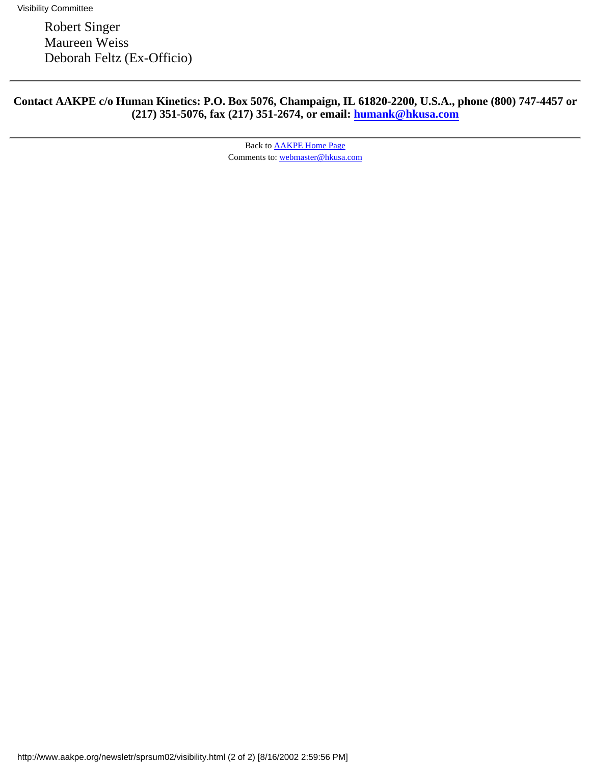Robert Singer Maureen Weiss Deborah Feltz (Ex-Officio)

#### **Contact AAKPE c/o Human Kinetics: P.O. Box 5076, Champaign, IL 61820-2200, U.S.A., phone (800) 747-4457 or (217) 351-5076, fax (217) 351-2674, or email: [humank@hkusa.com](mailto:humank@hkusa.com)**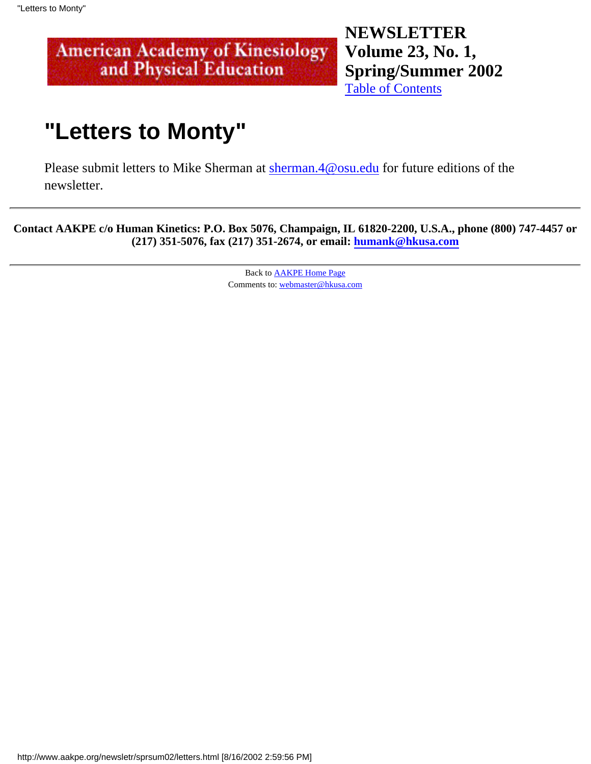**NEWSLETTER Volume 23, No. 1, Spring/Summer 2002** [Table of Contents](#page-0-0)

## <span id="page-12-0"></span>**"Letters to Monty"**

Please submit letters to Mike Sherman at [sherman.4@osu.edu](mailto:sherman.4@osu.edu) for future editions of the newsletter.

**Contact AAKPE c/o Human Kinetics: P.O. Box 5076, Champaign, IL 61820-2200, U.S.A., phone (800) 747-4457 or (217) 351-5076, fax (217) 351-2674, or email: [humank@hkusa.com](mailto:humank@hkusa.com)**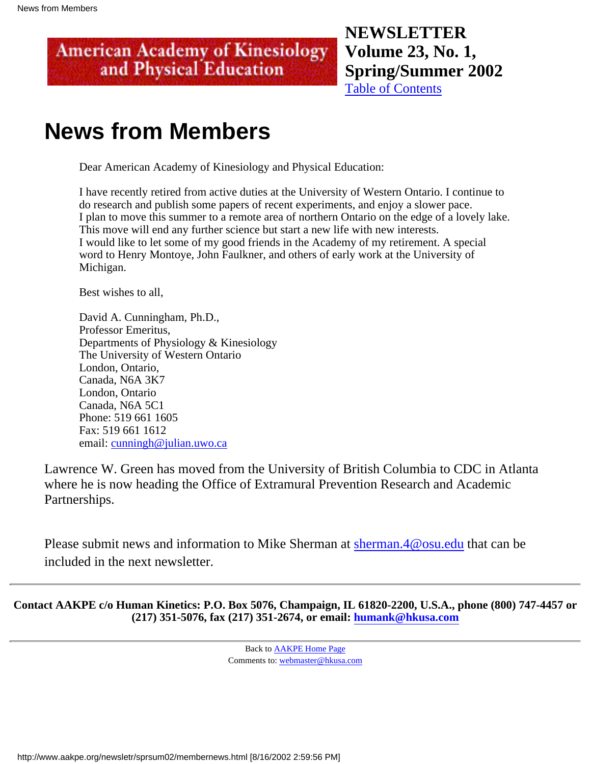### **NEWSLETTER Volume 23, No. 1, Spring/Summer 2002**

[Table of Contents](#page-0-0)

## <span id="page-13-0"></span>**News from Members**

Dear American Academy of Kinesiology and Physical Education:

I have recently retired from active duties at the University of Western Ontario. I continue to do research and publish some papers of recent experiments, and enjoy a slower pace. I plan to move this summer to a remote area of northern Ontario on the edge of a lovely lake. This move will end any further science but start a new life with new interests. I would like to let some of my good friends in the Academy of my retirement. A special word to Henry Montoye, John Faulkner, and others of early work at the University of Michigan.

Best wishes to all,

David A. Cunningham, Ph.D., Professor Emeritus, Departments of Physiology & Kinesiology The University of Western Ontario London, Ontario, Canada, N6A 3K7 London, Ontario Canada, N6A 5C1 Phone: 519 661 1605 Fax: 519 661 1612 email: [cunningh@julian.uwo.ca](mailto:cunningh@julian.uwo.ca)

Lawrence W. Green has moved from the University of British Columbia to CDC in Atlanta where he is now heading the Office of Extramural Prevention Research and Academic Partnerships.

Please submit news and information to Mike Sherman at [sherman.4@osu.edu](mailto:sherman.4@osu.edu) that can be included in the next newsletter.

**Contact AAKPE c/o Human Kinetics: P.O. Box 5076, Champaign, IL 61820-2200, U.S.A., phone (800) 747-4457 or (217) 351-5076, fax (217) 351-2674, or email: [humank@hkusa.com](mailto:humank@hkusa.com)**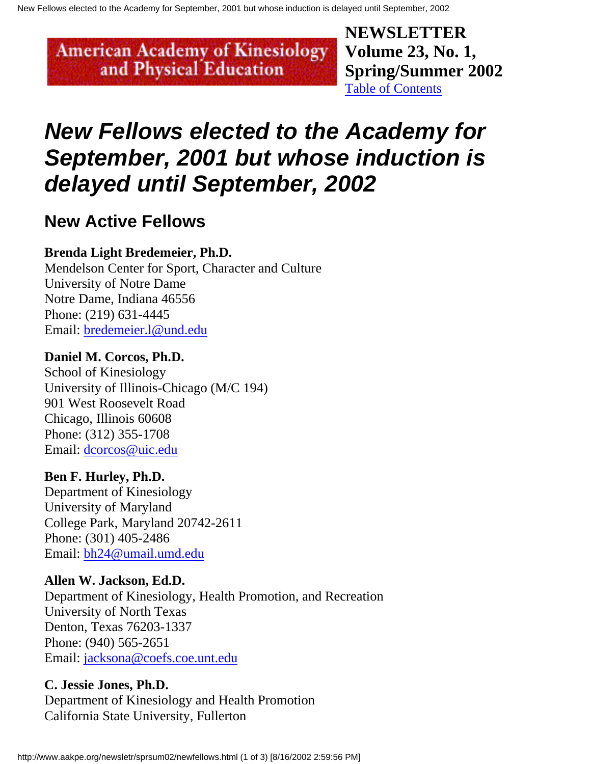**NEWSLETTER Volume 23, No. 1, Spring/Summer 2002** [Table of Contents](#page-0-0)

## <span id="page-14-0"></span>**New Fellows elected to the Academy for September, 2001 but whose induction is delayed until September, 2002**

### **New Active Fellows**

#### **Brenda Light Bredemeier, Ph.D.**

Mendelson Center for Sport, Character and Culture University of Notre Dame Notre Dame, Indiana 46556 Phone: (219) 631-4445 Email: [bredemeier.l@und.edu](mailto:bredemeier.l@und.edu)

#### **Daniel M. Corcos, Ph.D.**

School of Kinesiology University of Illinois-Chicago (M/C 194) 901 West Roosevelt Road Chicago, Illinois 60608 Phone: (312) 355-1708 Email: [dcorcos@uic.edu](mailto:dcorcos@uic.edu)

#### **Ben F. Hurley, Ph.D.**

Department of Kinesiology University of Maryland College Park, Maryland 20742-2611 Phone: (301) 405-2486 Email: [bh24@umail.umd.edu](mailto:bh24@umail.umd.edu)

#### **Allen W. Jackson, Ed.D.**

Department of Kinesiology, Health Promotion, and Recreation University of North Texas Denton, Texas 76203-1337 Phone: (940) 565-2651 Email: [jacksona@coefs.coe.unt.edu](mailto:jacksona@coefs.coe.unt.edu)

#### **C. Jessie Jones, Ph.D.**

Department of Kinesiology and Health Promotion California State University, Fullerton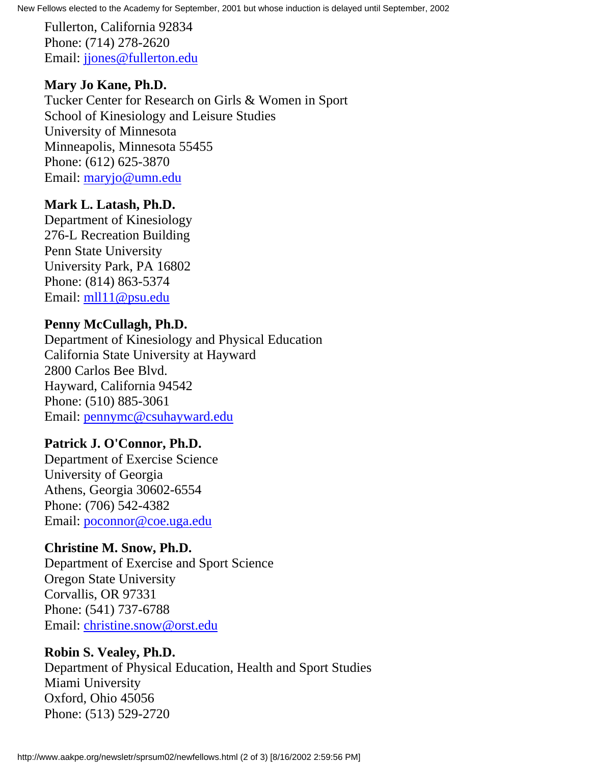New Fellows elected to the Academy for September, 2001 but whose induction is delayed until September, 2002

Fullerton, California 92834 Phone: (714) 278-2620 Email: [jjones@fullerton.edu](mailto:jjones@fullerton.edu)

#### **Mary Jo Kane, Ph.D.**

Tucker Center for Research on Girls & Women in Sport School of Kinesiology and Leisure Studies University of Minnesota Minneapolis, Minnesota 55455 Phone: (612) 625-3870 Email: [maryjo@umn.edu](mailto:maryjo@umn.edu)

#### **Mark L. Latash, Ph.D.**

Department of Kinesiology 276-L Recreation Building Penn State University University Park, PA 16802 Phone: (814) 863-5374 Email: [mll11@psu.edu](mailto:mll11@psu.edu)

#### **Penny McCullagh, Ph.D.**

Department of Kinesiology and Physical Education California State University at Hayward 2800 Carlos Bee Blvd. Hayward, California 94542 Phone: (510) 885-3061 Email: [pennymc@csuhayward.edu](mailto:pennymc@csuhayward.edu)

#### **Patrick J. O'Connor, Ph.D.**

Department of Exercise Science University of Georgia Athens, Georgia 30602-6554 Phone: (706) 542-4382 Email: [poconnor@coe.uga.edu](mailto:poconnor@coe.uga.edu)

#### **Christine M. Snow, Ph.D.**

Department of Exercise and Sport Science Oregon State University Corvallis, OR 97331 Phone: (541) 737-6788 Email: [christine.snow@orst.edu](mailto:christine.snow@orst.edu)

#### **Robin S. Vealey, Ph.D.**

Department of Physical Education, Health and Sport Studies Miami University Oxford, Ohio 45056 Phone: (513) 529-2720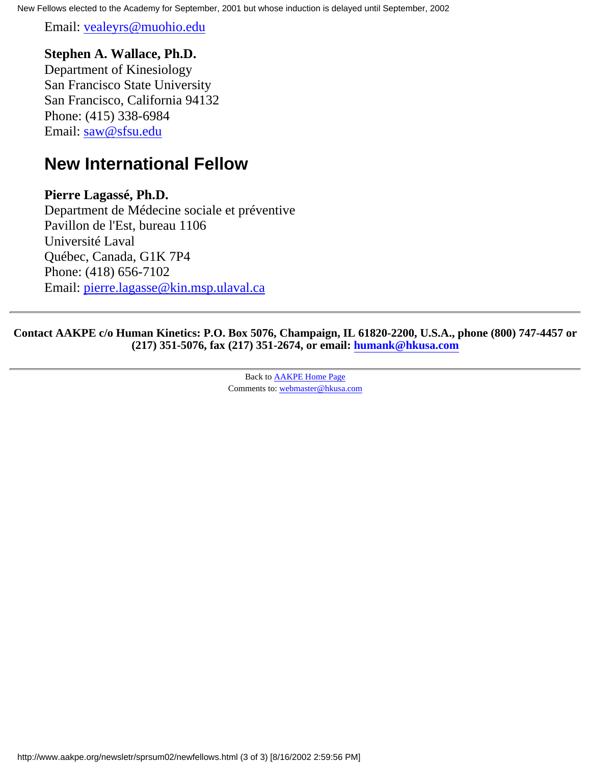New Fellows elected to the Academy for September, 2001 but whose induction is delayed until September, 2002

Email: [vealeyrs@muohio.edu](mailto:vealeyrs@muohio.edu)

#### **Stephen A. Wallace, Ph.D.**

Department of Kinesiology San Francisco State University San Francisco, California 94132 Phone: (415) 338-6984 Email: [saw@sfsu.edu](mailto:saw@sfsu.edu)

### **New International Fellow**

#### **Pierre Lagassé, Ph.D.**

Department de Médecine sociale et préventive Pavillon de l'Est, bureau 1106 Université Laval Québec, Canada, G1K 7P4 Phone: (418) 656-7102 Email: [pierre.lagasse@kin.msp.ulaval.ca](mailto:pierre.lagasse@kin.msp.ulaval.ca)

**Contact AAKPE c/o Human Kinetics: P.O. Box 5076, Champaign, IL 61820-2200, U.S.A., phone (800) 747-4457 or (217) 351-5076, fax (217) 351-2674, or email: [humank@hkusa.com](mailto:humank@hkusa.com)**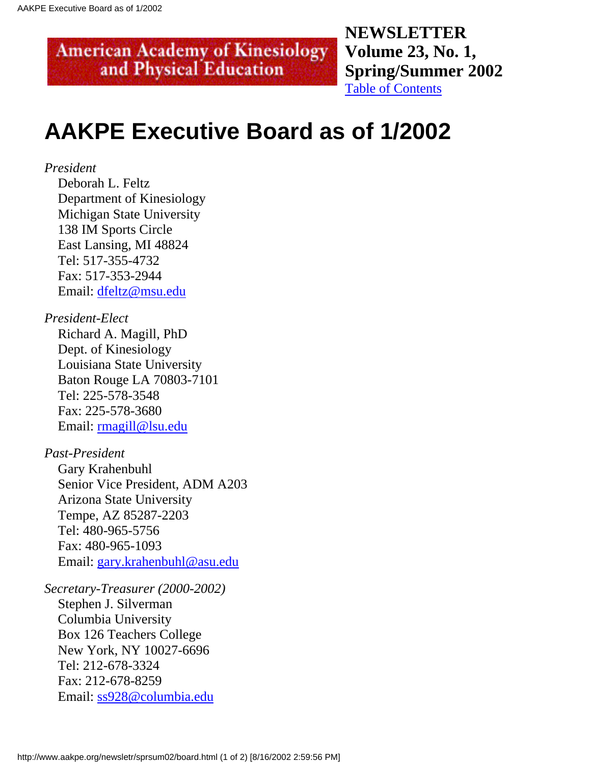**NEWSLETTER Volume 23, No. 1, Spring/Summer 2002** [Table of Contents](#page-0-0)

## <span id="page-17-0"></span>**AAKPE Executive Board as of 1/2002**

#### *President*

 Deborah L. Feltz Department of Kinesiology Michigan State University 138 IM Sports Circle East Lansing, MI 48824 Tel: 517-355-4732 Fax: 517-353-2944 Email: [dfeltz@msu.edu](mailto:dfeltz@msu.edu)

#### *President-Elect*

 Richard A. Magill, PhD Dept. of Kinesiology Louisiana State University Baton Rouge LA 70803-7101 Tel: 225-578-3548 Fax: 225-578-3680 Email: [rmagill@lsu.edu](mailto:rmagill@lsu.edu)

#### *Past-President*

 Gary Krahenbuhl Senior Vice President, ADM A203 Arizona State University Tempe, AZ 85287-2203 Tel: 480-965-5756 Fax: 480-965-1093 Email: [gary.krahenbuhl@asu.edu](mailto:gary.krahenbuhl@asu.edu)

#### *Secretary-Treasurer (2000-2002)*

 Stephen J. Silverman Columbia University Box 126 Teachers College New York, NY 10027-6696 Tel: 212-678-3324 Fax: 212-678-8259 Email: [ss928@columbia.edu](mailto:ss928@columbia.edu)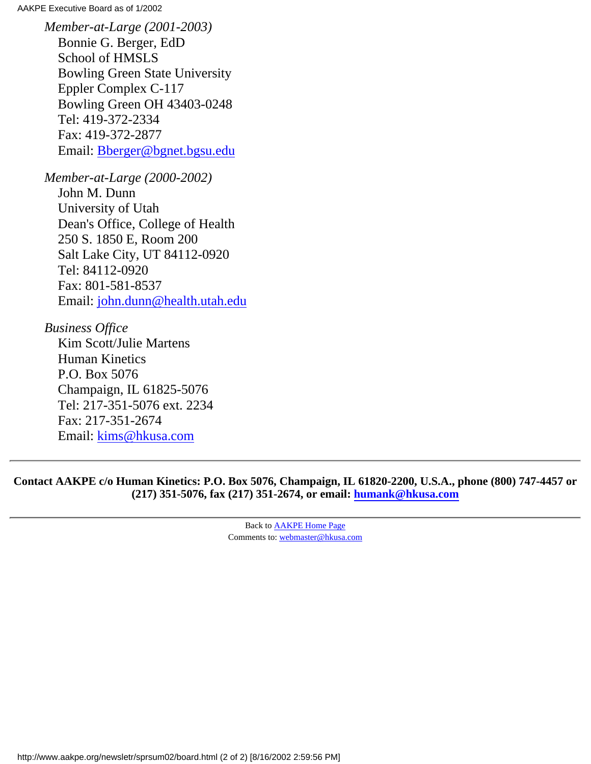AAKPE Executive Board as of 1/2002

*Member-at-Large (2001-2003)* Bonnie G. Berger, EdD School of HMSLS Bowling Green State University Eppler Complex C-117 Bowling Green OH 43403-0248 Tel: 419-372-2334 Fax: 419-372-2877 Email: [Bberger@bgnet.bgsu.edu](mailto:Bberger@bgnet.bgsu.edu)

*Member-at-Large (2000-2002)*

 John M. Dunn University of Utah Dean's Office, College of Health 250 S. 1850 E, Room 200 Salt Lake City, UT 84112-0920 Tel: 84112-0920 Fax: 801-581-8537 Email: [john.dunn@health.utah.edu](mailto:john.dunn@health.utah.edu)

#### *Business Office*

 Kim Scott/Julie Martens Human Kinetics P.O. Box 5076 Champaign, IL 61825-5076 Tel: 217-351-5076 ext. 2234 Fax: 217-351-2674 Email: [kims@hkusa.com](mailto:kims@hkusa.com)

**Contact AAKPE c/o Human Kinetics: P.O. Box 5076, Champaign, IL 61820-2200, U.S.A., phone (800) 747-4457 or (217) 351-5076, fax (217) 351-2674, or email: [humank@hkusa.com](mailto:humank@hkusa.com)**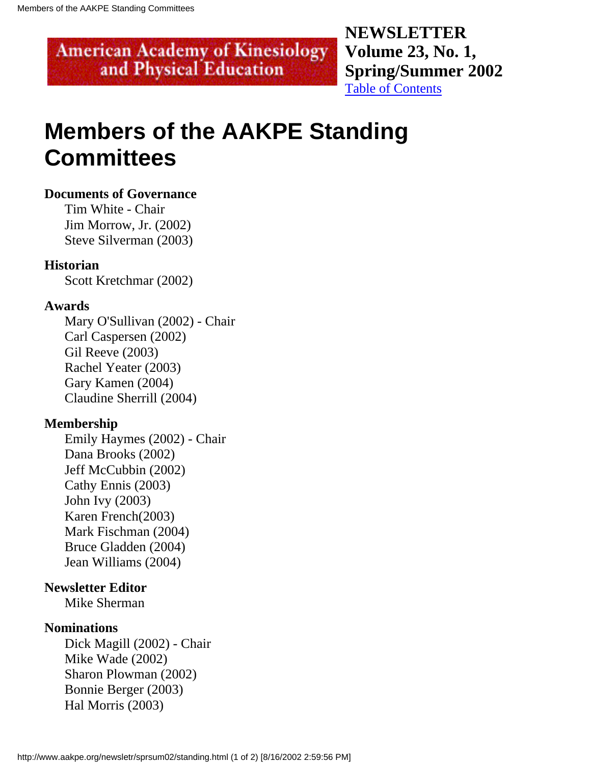**NEWSLETTER Volume 23, No. 1, Spring/Summer 2002** [Table of Contents](#page-0-0)

## <span id="page-19-0"></span>**Members of the AAKPE Standing Committees**

#### **Documents of Governance**

 Tim White - Chair Jim Morrow, Jr. (2002) Steve Silverman (2003)

#### **Historian**

Scott Kretchmar (2002)

#### **Awards**

 Mary O'Sullivan (2002) - Chair Carl Caspersen (2002) Gil Reeve (2003) Rachel Yeater (2003) Gary Kamen (2004) Claudine Sherrill (2004)

#### **Membership**

 Emily Haymes (2002) - Chair Dana Brooks (2002) Jeff McCubbin (2002) Cathy Ennis (2003) John Ivy (2003) Karen French(2003) Mark Fischman (2004) Bruce Gladden (2004) Jean Williams (2004)

#### **Newsletter Editor**

Mike Sherman

#### **Nominations**

 Dick Magill (2002) - Chair Mike Wade (2002) Sharon Plowman (2002) Bonnie Berger (2003) Hal Morris (2003)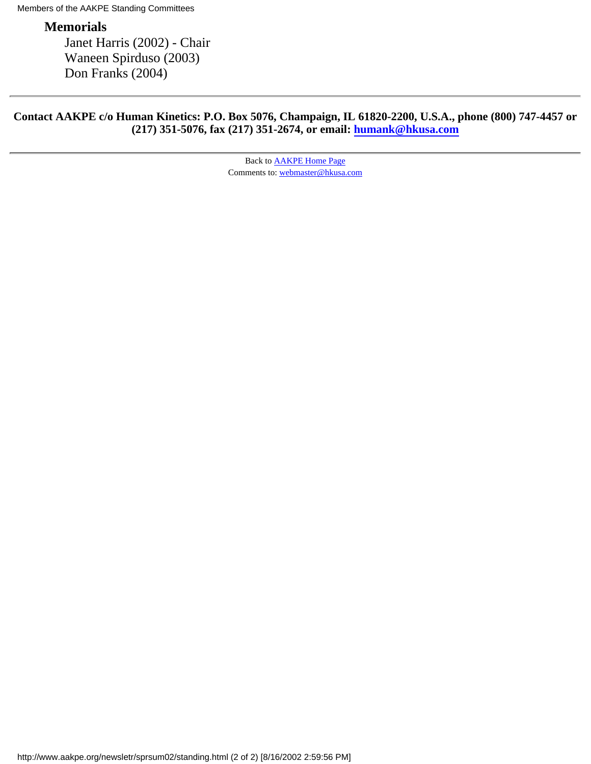Members of the AAKPE Standing Committees

#### **Memorials**

 Janet Harris (2002) - Chair Waneen Spirduso (2003) Don Franks (2004)

#### **Contact AAKPE c/o Human Kinetics: P.O. Box 5076, Champaign, IL 61820-2200, U.S.A., phone (800) 747-4457 or (217) 351-5076, fax (217) 351-2674, or email: [humank@hkusa.com](mailto:humank@hkusa.com)**